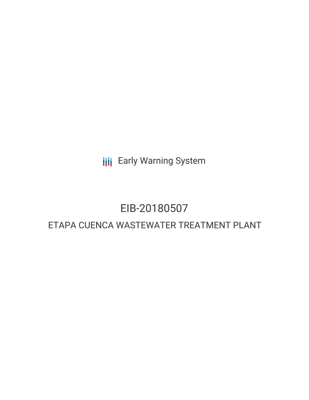**III** Early Warning System

# EIB-20180507

# ETAPA CUENCA WASTEWATER TREATMENT PLANT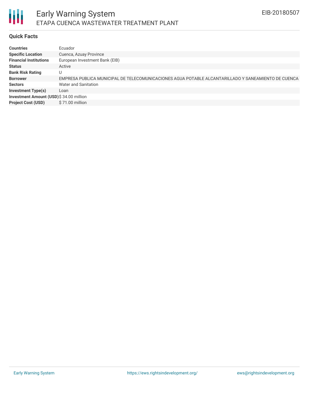

## **Quick Facts**

| Countries                               | Ecuador                                                                                             |
|-----------------------------------------|-----------------------------------------------------------------------------------------------------|
| <b>Specific Location</b>                | Cuenca, Azuay Province                                                                              |
| <b>Financial Institutions</b>           | European Investment Bank (EIB)                                                                      |
| Status                                  | Active                                                                                              |
| <b>Bank Risk Rating</b>                 | U                                                                                                   |
| <b>Borrower</b>                         | EMPRESA PUBLICA MUNICIPAL DE TELECOMUNICACIONES AGUA POTABLE ALCANTARILLADO Y SANEAMIENTO DE CUENCA |
| Sectors                                 | Water and Sanitation                                                                                |
| <b>Investment Type(s)</b>               | Loan                                                                                                |
| Investment Amount (USD)\$ 34.00 million |                                                                                                     |
| <b>Project Cost (USD)</b>               | \$71.00 million                                                                                     |
|                                         |                                                                                                     |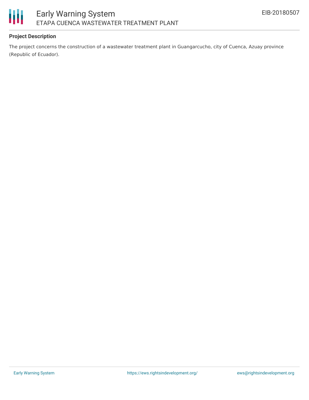

## **Project Description**

The project concerns the construction of a wastewater treatment plant in Guangarcucho, city of Cuenca, Azuay province (Republic of Ecuador).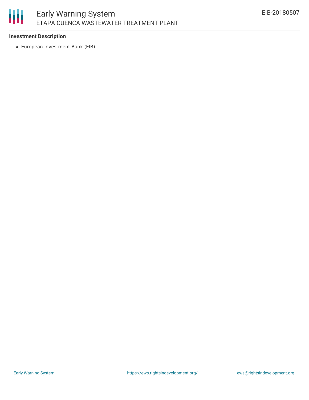# 朋 Early Warning System ETAPA CUENCA WASTEWATER TREATMENT PLANT

#### **Investment Description**

European Investment Bank (EIB)